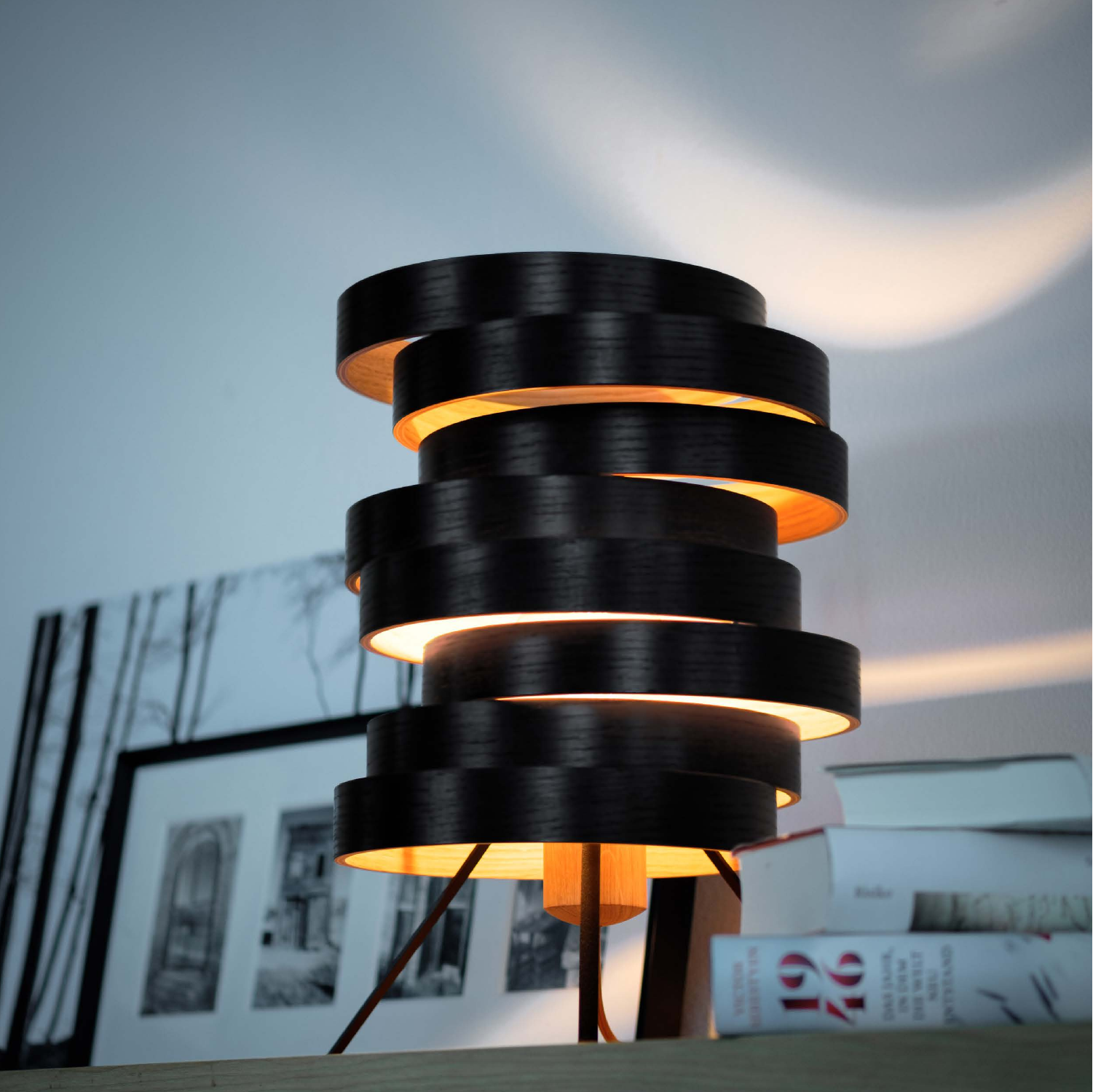